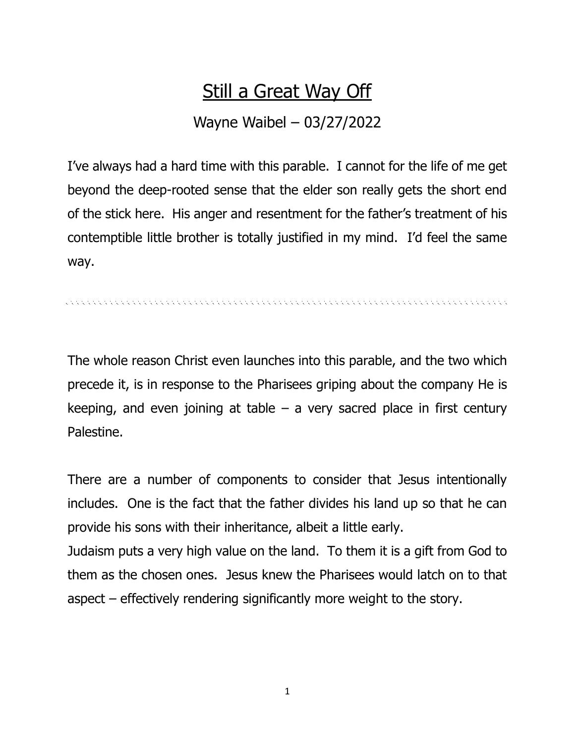## Still a Great Way Off

## Wayne Waibel – 03/27/2022

I've always had a hard time with this parable. I cannot for the life of me get beyond the deep-rooted sense that the elder son really gets the short end of the stick here. His anger and resentment for the father's treatment of his contemptible little brother is totally justified in my mind. I'd feel the same way.

. A CARACTER CARD CARD CARD CONTROL CONTROL CONTROL CONTROL CONTROL CONTROL CONTROL CONTROL

The whole reason Christ even launches into this parable, and the two which precede it, is in response to the Pharisees griping about the company He is keeping, and even joining at table  $-$  a very sacred place in first century Palestine.

There are a number of components to consider that Jesus intentionally includes. One is the fact that the father divides his land up so that he can provide his sons with their inheritance, albeit a little early.

Judaism puts a very high value on the land. To them it is a gift from God to them as the chosen ones. Jesus knew the Pharisees would latch on to that aspect – effectively rendering significantly more weight to the story.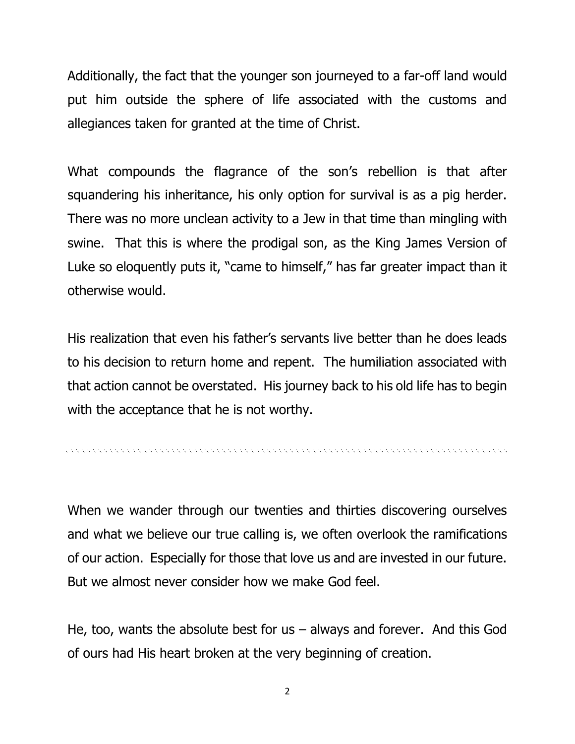Additionally, the fact that the younger son journeyed to a far-off land would put him outside the sphere of life associated with the customs and allegiances taken for granted at the time of Christ.

What compounds the flagrance of the son's rebellion is that after squandering his inheritance, his only option for survival is as a pig herder. There was no more unclean activity to a Jew in that time than mingling with swine. That this is where the prodigal son, as the King James Version of Luke so eloquently puts it, "came to himself," has far greater impact than it otherwise would.

His realization that even his father's servants live better than he does leads to his decision to return home and repent. The humiliation associated with that action cannot be overstated. His journey back to his old life has to begin with the acceptance that he is not worthy.

When we wander through our twenties and thirties discovering ourselves and what we believe our true calling is, we often overlook the ramifications of our action. Especially for those that love us and are invested in our future. But we almost never consider how we make God feel.

He, too, wants the absolute best for us  $-$  always and forever. And this God of ours had His heart broken at the very beginning of creation.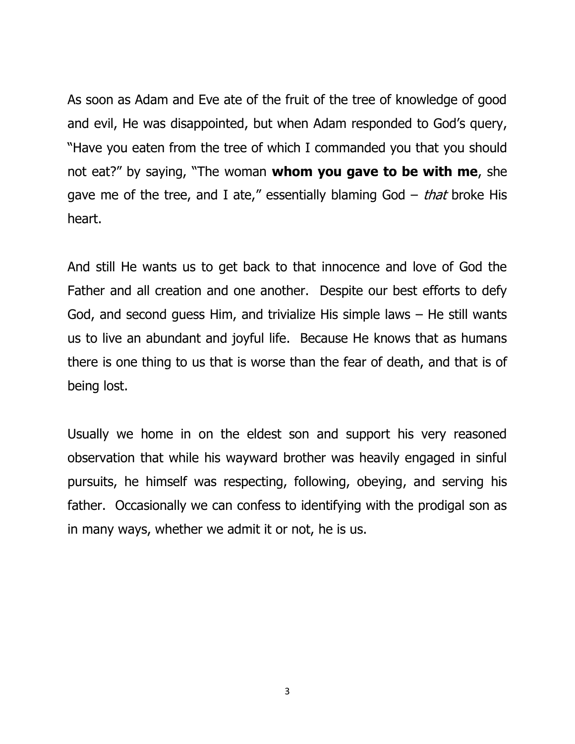As soon as Adam and Eve ate of the fruit of the tree of knowledge of good and evil, He was disappointed, but when Adam responded to God's query, "Have you eaten from the tree of which I commanded you that you should not eat?" by saying, "The woman **whom you gave to be with me**, she gave me of the tree, and I ate," essentially blaming God  $-$  that broke His heart.

And still He wants us to get back to that innocence and love of God the Father and all creation and one another. Despite our best efforts to defy God, and second guess Him, and trivialize His simple laws – He still wants us to live an abundant and joyful life. Because He knows that as humans there is one thing to us that is worse than the fear of death, and that is of being lost.

Usually we home in on the eldest son and support his very reasoned observation that while his wayward brother was heavily engaged in sinful pursuits, he himself was respecting, following, obeying, and serving his father. Occasionally we can confess to identifying with the prodigal son as in many ways, whether we admit it or not, he is us.

3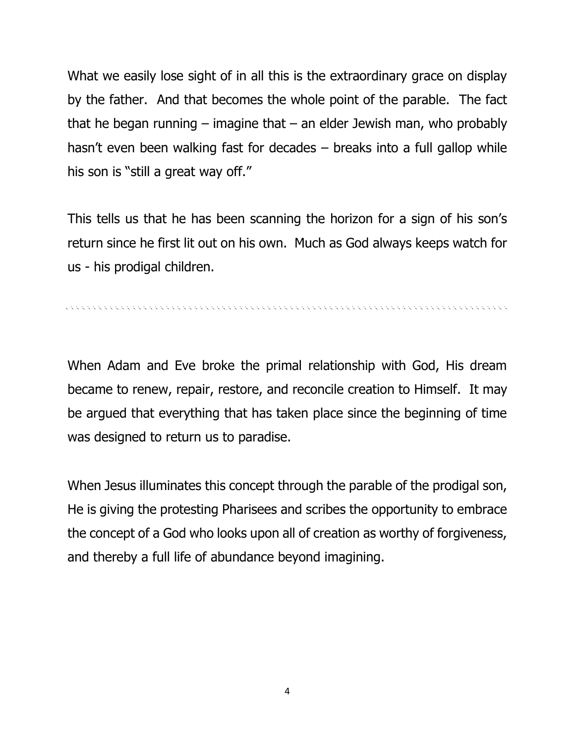What we easily lose sight of in all this is the extraordinary grace on display by the father. And that becomes the whole point of the parable. The fact that he began running – imagine that – an elder Jewish man, who probably hasn't even been walking fast for decades – breaks into a full gallop while his son is "still a great way off."

This tells us that he has been scanning the horizon for a sign of his son's return since he first lit out on his own. Much as God always keeps watch for us - his prodigal children.

re electronic electronic electronic electronic electronic electronic electronic electronic electronic electron

When Adam and Eve broke the primal relationship with God, His dream became to renew, repair, restore, and reconcile creation to Himself. It may be argued that everything that has taken place since the beginning of time was designed to return us to paradise.

When Jesus illuminates this concept through the parable of the prodigal son, He is giving the protesting Pharisees and scribes the opportunity to embrace the concept of a God who looks upon all of creation as worthy of forgiveness, and thereby a full life of abundance beyond imagining.